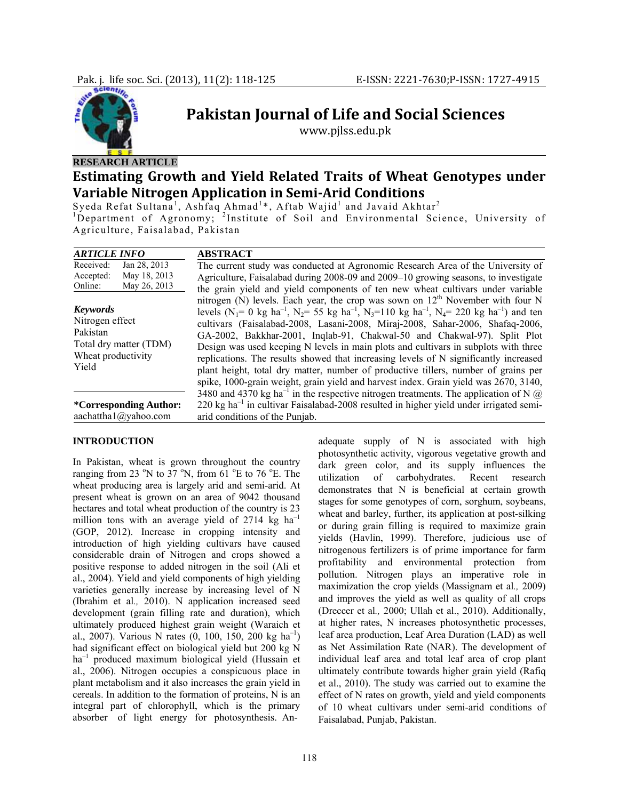

## **RESEARCH ARTICLE**

# **Estimating Growth and Yield Related Traits of Wheat Genotypes under Variable Nitrogen Application in SemiArid Conditions**

**Pakistan Journal of Life and Social Sciences** www.pjlss.edu.pk

Syeda Refat Sultana<sup>1</sup>, Ashfaq Ahmad<sup>1\*</sup>, Aftab Wajid<sup>1</sup> and Javaid Akhtar<sup>2</sup> <sup>1</sup>Department of Agronomy; <sup>2</sup>Institute of Soil and Environmental Science, University of Agriculture, Faisalabad, Pakistan

| <b>ARTICLE INFO</b>                                                                                     | <b>ABSTRACT</b>                                                                                                                                                                                                                                                                                                                                                                                                                                                                                                                                                                                                                                                                                                                                                                                       |
|---------------------------------------------------------------------------------------------------------|-------------------------------------------------------------------------------------------------------------------------------------------------------------------------------------------------------------------------------------------------------------------------------------------------------------------------------------------------------------------------------------------------------------------------------------------------------------------------------------------------------------------------------------------------------------------------------------------------------------------------------------------------------------------------------------------------------------------------------------------------------------------------------------------------------|
| Received:<br>Jan 28, 2013<br>May 18, 2013<br>Accepted:<br>May 26, 2013<br>Online:                       | The current study was conducted at Agronomic Research Area of the University of<br>Agriculture, Faisalabad during 2008-09 and 2009-10 growing seasons, to investigate<br>the grain yield and yield components of ten new wheat cultivars under variable                                                                                                                                                                                                                                                                                                                                                                                                                                                                                                                                               |
| <b>Keywords</b><br>Nitrogen effect<br>Pakistan<br>Total dry matter (TDM)<br>Wheat productivity<br>Yield | nitrogen (N) levels. Each year, the crop was sown on $12th$ November with four N<br>levels (N <sub>1</sub> = 0 kg ha <sup>-1</sup> , N <sub>2</sub> = 55 kg ha <sup>-1</sup> , N <sub>3</sub> =110 kg ha <sup>-1</sup> , N <sub>4</sub> = 220 kg ha <sup>-1</sup> ) and ten<br>cultivars (Faisalabad-2008, Lasani-2008, Miraj-2008, Sahar-2006, Shafaq-2006,<br>GA-2002, Bakkhar-2001, Inglab-91, Chakwal-50 and Chakwal-97). Split Plot<br>Design was used keeping N levels in main plots and cultivars in subplots with three<br>replications. The results showed that increasing levels of N significantly increased<br>plant height, total dry matter, number of productive tillers, number of grains per<br>spike, 1000-grain weight, grain yield and harvest index. Grain yield was 2670, 3140, |
| <i>*Corresponding Author:</i><br>aachattha1@yahoo.com                                                   | 3480 and 4370 kg ha <sup>-1</sup> in the respective nitrogen treatments. The application of N $\omega$<br>$220 \text{ kg}$ ha <sup>-1</sup> in cultivar Faisalabad-2008 resulted in higher yield under irrigated semi-<br>arid conditions of the Punjab.                                                                                                                                                                                                                                                                                                                                                                                                                                                                                                                                              |

## **INTRODUCTION**

In Pakistan, wheat is grown throughout the country ranging from 23  $\mathrm{°N}$  to 37  $\mathrm{°N}$ , from 61  $\mathrm{°E}$  to 76  $\mathrm{°E}$ . The wheat producing area is largely arid and semi-arid. At present wheat is grown on an area of 9042 thousand hectares and total wheat production of the country is 23 million tons with an average yield of 2714 kg  $ha^{-1}$ (GOP, 2012). Increase in cropping intensity and introduction of high yielding cultivars have caused considerable drain of Nitrogen and crops showed a positive response to added nitrogen in the soil (Ali et al., 2004). Yield and yield components of high yielding varieties generally increase by increasing level of N (Ibrahim et al*.,* 2010). N application increased seed development (grain filling rate and duration), which ultimately produced highest grain weight (Waraich et al., 2007). Various N rates  $(0, 100, 150, 200 \text{ kg ha}^{-1})$ had significant effect on biological yield but 200 kg N ha–1 produced maximum biological yield (Hussain et al., 2006). Nitrogen occupies a conspicuous place in plant metabolism and it also increases the grain yield in cereals. In addition to the formation of proteins, N is an integral part of chlorophyll, which is the primary absorber of light energy for photosynthesis. Anadequate supply of N is associated with high photosynthetic activity, vigorous vegetative growth and dark green color, and its supply influences the utilization of carbohydrates. Recent research demonstrates that N is beneficial at certain growth stages for some genotypes of corn, sorghum, soybeans, wheat and barley, further, its application at post-silking or during grain filling is required to maximize grain yields (Havlin, 1999). Therefore, judicious use of nitrogenous fertilizers is of prime importance for farm profitability and environmental protection from pollution. Nitrogen plays an imperative role in maximization the crop yields (Massignam et al*.,* 2009) and improves the yield as well as quality of all crops (Dreccer et al*.,* 2000; Ullah et al., 2010). Additionally, at higher rates, N increases photosynthetic processes, leaf area production, Leaf Area Duration (LAD) as well as Net Assimilation Rate (NAR). The development of individual leaf area and total leaf area of crop plant ultimately contribute towards higher grain yield (Rafiq et al., 2010). The study was carried out to examine the effect of N rates on growth, yield and yield components of 10 wheat cultivars under semi-arid conditions of Faisalabad, Punjab, Pakistan.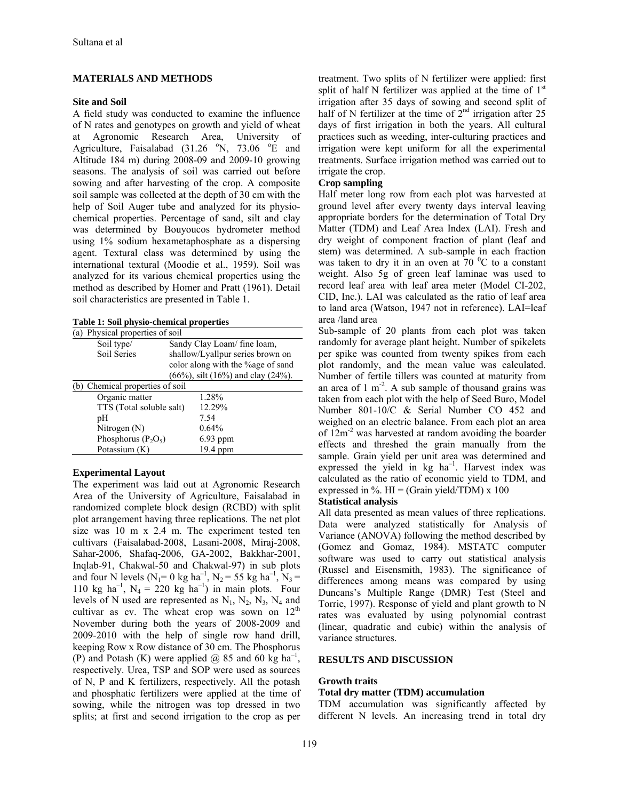## **MATERIALS AND METHODS**

#### **Site and Soil**

A field study was conducted to examine the influence of N rates and genotypes on growth and yield of wheat at Agronomic Research Area, University of Agriculture, Faisalabad  $(31.26 \degree N, 73.06 \degree E$  and Altitude 184 m) during 2008-09 and 2009-10 growing seasons. The analysis of soil was carried out before sowing and after harvesting of the crop. A composite soil sample was collected at the depth of 30 cm with the help of Soil Auger tube and analyzed for its physiochemical properties. Percentage of sand, silt and clay was determined by Bouyoucos hydrometer method using 1% sodium hexametaphosphate as a dispersing agent. Textural class was determined by using the international textural (Moodie et al., 1959). Soil was analyzed for its various chemical properties using the method as described by Homer and Pratt (1961). Detail soil characteristics are presented in Table 1.

**Table 1: Soil physio-chemical properties**

| shallow/Lyallpur series brown on             |
|----------------------------------------------|
| color along with the % age of sand           |
| $(66\%)$ , silt $(16\%)$ and clay $(24\%)$ . |
|                                              |
|                                              |
|                                              |
|                                              |
|                                              |
|                                              |
|                                              |
|                                              |

#### **Experimental Layout**

The experiment was laid out at Agronomic Research Area of the University of Agriculture, Faisalabad in randomized complete block design (RCBD) with split plot arrangement having three replications. The net plot size was 10 m x 2.4 m. The experiment tested ten cultivars (Faisalabad-2008, Lasani-2008, Miraj-2008, Sahar-2006, Shafaq-2006, GA-2002, Bakkhar-2001, Inqlab-91, Chakwal-50 and Chakwal-97) in sub plots and four N levels  $(N_1=0 \text{ kg ha}^{-1}, N_2=55 \text{ kg ha}^{-1}, N_3=$ 110 kg ha<sup>-1</sup>, N<sub>4</sub> = 220 kg ha<sup>-1</sup>) in main plots. Four levels of N used are represented as  $N_1$ ,  $N_2$ ,  $N_3$ ,  $N_4$  and cultivar as cv. The wheat crop was sown on  $12<sup>th</sup>$ November during both the years of 2008-2009 and 2009-2010 with the help of single row hand drill, keeping Row x Row distance of 30 cm. The Phosphorus (P) and Potash (K) were applied  $\omega$  85 and 60 kg ha<sup>-1</sup>, respectively. Urea, TSP and SOP were used as sources of N, P and K fertilizers, respectively. All the potash and phosphatic fertilizers were applied at the time of sowing, while the nitrogen was top dressed in two splits; at first and second irrigation to the crop as per

treatment. Two splits of N fertilizer were applied: first split of half N fertilizer was applied at the time of  $1<sup>st</sup>$ irrigation after 35 days of sowing and second split of half of N fertilizer at the time of  $2<sup>nd</sup>$  irrigation after 25 days of first irrigation in both the years. All cultural practices such as weeding, inter-culturing practices and irrigation were kept uniform for all the experimental treatments. Surface irrigation method was carried out to irrigate the crop.

## **Crop sampling**

Half meter long row from each plot was harvested at ground level after every twenty days interval leaving appropriate borders for the determination of Total Dry Matter (TDM) and Leaf Area Index (LAI). Fresh and dry weight of component fraction of plant (leaf and stem) was determined. A sub-sample in each fraction was taken to dry it in an oven at  $70<sup>o</sup>C$  to a constant weight. Also 5g of green leaf laminae was used to record leaf area with leaf area meter (Model CI-202, CID, Inc.). LAI was calculated as the ratio of leaf area to land area (Watson, 1947 not in reference). LAI=leaf area /land area

Sub-sample of 20 plants from each plot was taken randomly for average plant height. Number of spikelets per spike was counted from twenty spikes from each plot randomly, and the mean value was calculated. Number of fertile tillers was counted at maturity from an area of  $1 \text{ m}^2$ . A sub sample of thousand grains was taken from each plot with the help of Seed Buro, Model Number 801-10/C & Serial Number CO 452 and weighed on an electric balance. From each plot an area of 12m-2 was harvested at random avoiding the boarder effects and threshed the grain manually from the sample. Grain yield per unit area was determined and expressed the yield in  $kg$  ha<sup>-1</sup>. Harvest index was calculated as the ratio of economic yield to TDM, and expressed in %.  $HI = (Grain yield/TDM) \times 100$ 

#### **Statistical analysis**

All data presented as mean values of three replications. Data were analyzed statistically for Analysis of Variance (ANOVA) following the method described by (Gomez and Gomaz, 1984). MSTATC computer software was used to carry out statistical analysis (Russel and Eisensmith, 1983). The significance of differences among means was compared by using Duncans's Multiple Range (DMR) Test (Steel and Torrie, 1997). Response of yield and plant growth to N rates was evaluated by using polynomial contrast (linear, quadratic and cubic) within the analysis of variance structures.

#### **RESULTS AND DISCUSSION**

#### **Growth traits**

#### **Total dry matter (TDM) accumulation**

TDM accumulation was significantly affected by different N levels. An increasing trend in total dry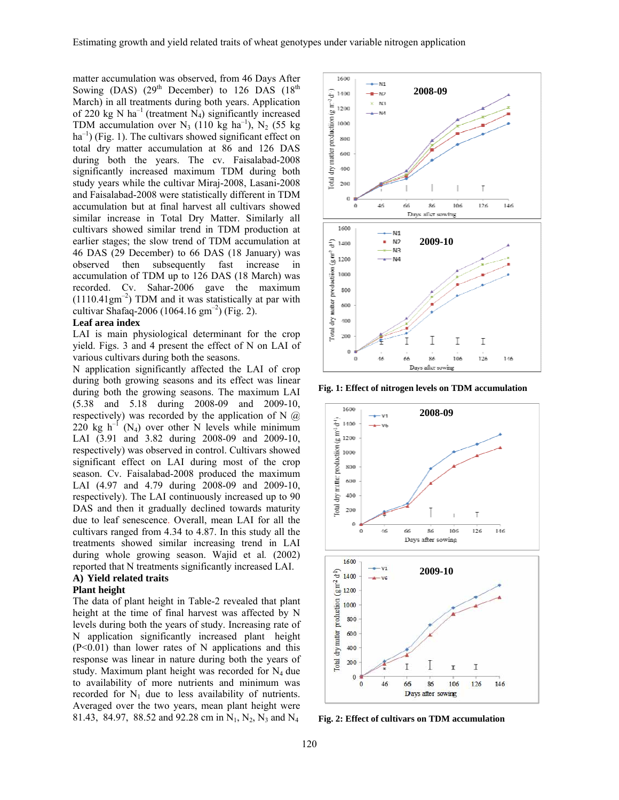matter accumulation was observed, from 46 Days After Sowing (DAS)  $(29<sup>th</sup> December)$  to 126 DAS  $(18<sup>th</sup>$ March) in all treatments during both years. Application of 220 kg N ha<sup>-1</sup> (treatment N<sub>4</sub>) significantly increased TDM accumulation over  $N_3$  (110 kg ha<sup>-1</sup>), N<sub>2</sub> (55 kg)  $ha^{-1}$ ) (Fig. 1). The cultivars showed significant effect on total dry matter accumulation at 86 and 126 DAS during both the years. The cv. Faisalabad-2008 significantly increased maximum TDM during both study years while the cultivar Miraj-2008, Lasani-2008 and Faisalabad-2008 were statistically different in TDM accumulation but at final harvest all cultivars showed similar increase in Total Dry Matter. Similarly all cultivars showed similar trend in TDM production at earlier stages; the slow trend of TDM accumulation at 46 DAS (29 December) to 66 DAS (18 January) was observed then subsequently fast increase in accumulation of TDM up to 126 DAS (18 March) was recorded. Cv. Sahar-2006 gave the maximum  $(1110.41gm<sup>-2</sup>)$  TDM and it was statistically at par with cultivar Shafaq-2006 (1064.16  $\text{gm}^{-2}$ ) (Fig. 2).

#### **Leaf area index**

LAI is main physiological determinant for the crop yield. Figs. 3 and 4 present the effect of N on LAI of various cultivars during both the seasons.

N application significantly affected the LAI of crop during both growing seasons and its effect was linear during both the growing seasons. The maximum LAI (5.38 and 5.18 during 2008-09 and 2009-10, respectively) was recorded by the application of N  $\omega$ 220 kg  $h^{-1}$  (N<sub>4</sub>) over other N levels while minimum LAI (3.91 and 3.82 during 2008-09 and 2009-10, respectively) was observed in control. Cultivars showed significant effect on LAI during most of the crop season. Cv. Faisalabad-2008 produced the maximum LAI (4.97 and 4.79 during 2008-09 and 2009-10, respectively). The LAI continuously increased up to 90 DAS and then it gradually declined towards maturity due to leaf senescence. Overall, mean LAI for all the cultivars ranged from 4.34 to 4.87. In this study all the treatments showed similar increasing trend in LAI during whole growing season. Wajid et al*.* (2002) reported that N treatments significantly increased LAI.

#### **A) Yield related traits Plant height**

The data of plant height in Table-2 revealed that plant height at the time of final harvest was affected by N levels during both the years of study. Increasing rate of N application significantly increased plant height  $(P<0.01)$  than lower rates of N applications and this response was linear in nature during both the years of study. Maximum plant height was recorded for  $N_4$  due to availability of more nutrients and minimum was recorded for  $N_1$  due to less availability of nutrients. Averaged over the two years, mean plant height were 81.43, 84.97, 88.52 and 92.28 cm in  $N_1$ ,  $N_2$ ,  $N_3$  and  $N_4$ 



**Fig. 1: Effect of nitrogen levels on TDM accumulation** 



**Fig. 2: Effect of cultivars on TDM accumulation**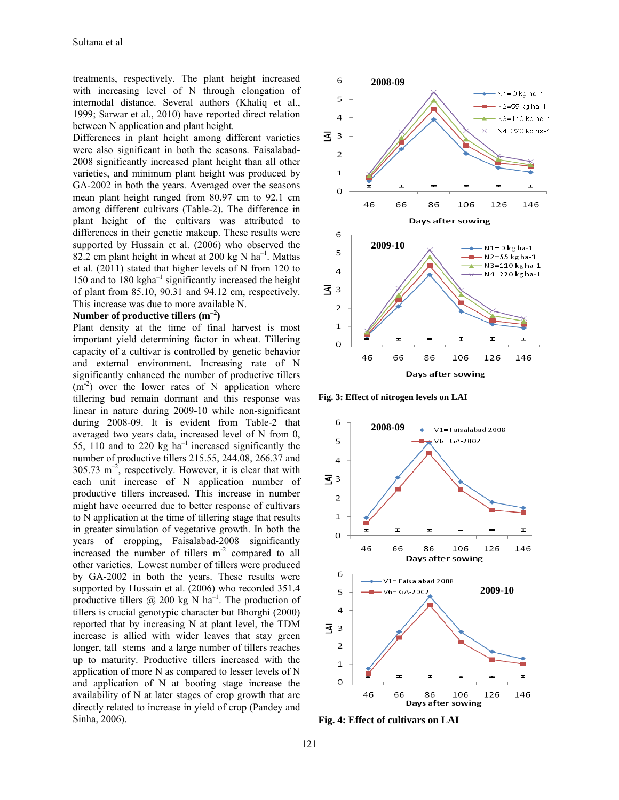treatments, respectively. The plant height increased with increasing level of N through elongation of internodal distance. Several authors (Khaliq et al., 1999; Sarwar et al., 2010) have reported direct relation between N application and plant height.

Differences in plant height among different varieties were also significant in both the seasons. Faisalabad-2008 significantly increased plant height than all other varieties, and minimum plant height was produced by GA-2002 in both the years. Averaged over the seasons mean plant height ranged from 80.97 cm to 92.1 cm among different cultivars (Table-2). The difference in plant height of the cultivars was attributed to differences in their genetic makeup. These results were supported by Hussain et al. (2006) who observed the 82.2 cm plant height in wheat at 200 kg N  $ha^{-1}$ . Mattas et al. (2011) stated that higher levels of N from 120 to 150 and to 180 kgha $^{-1}$  significantly increased the height of plant from 85.10, 90.31 and 94.12 cm, respectively. This increase was due to more available N.

#### **Number of productive tillers (m–2)**

Plant density at the time of final harvest is most important yield determining factor in wheat. Tillering capacity of a cultivar is controlled by genetic behavior and external environment. Increasing rate of N significantly enhanced the number of productive tillers  $(m<sup>-2</sup>)$  over the lower rates of N application where tillering bud remain dormant and this response was linear in nature during 2009-10 while non-significant during 2008-09. It is evident from Table-2 that averaged two years data, increased level of N from 0, 55, 110 and to 220 kg  $ha^{-1}$  increased significantly the number of productive tillers 215.55, 244.08, 266.37 and  $305.73 \text{ m}^{-2}$ , respectively. However, it is clear that with each unit increase of N application number of productive tillers increased. This increase in number might have occurred due to better response of cultivars to N application at the time of tillering stage that results in greater simulation of vegetative growth. In both the years of cropping, Faisalabad-2008 significantly increased the number of tillers  $m<sup>-2</sup>$  compared to all other varieties. Lowest number of tillers were produced by GA-2002 in both the years. These results were supported by Hussain et al. (2006) who recorded 351.4 productive tillers  $\omega$  200 kg N ha<sup>-1</sup>. The production of tillers is crucial genotypic character but Bhorghi (2000) reported that by increasing N at plant level, the TDM increase is allied with wider leaves that stay green longer, tall stems and a large number of tillers reaches up to maturity. Productive tillers increased with the application of more N as compared to lesser levels of N and application of N at booting stage increase the availability of N at later stages of crop growth that are directly related to increase in yield of crop (Pandey and Sinha, 2006).



**Fig. 3: Effect of nitrogen levels on LAI** 



**Fig. 4: Effect of cultivars on LAI**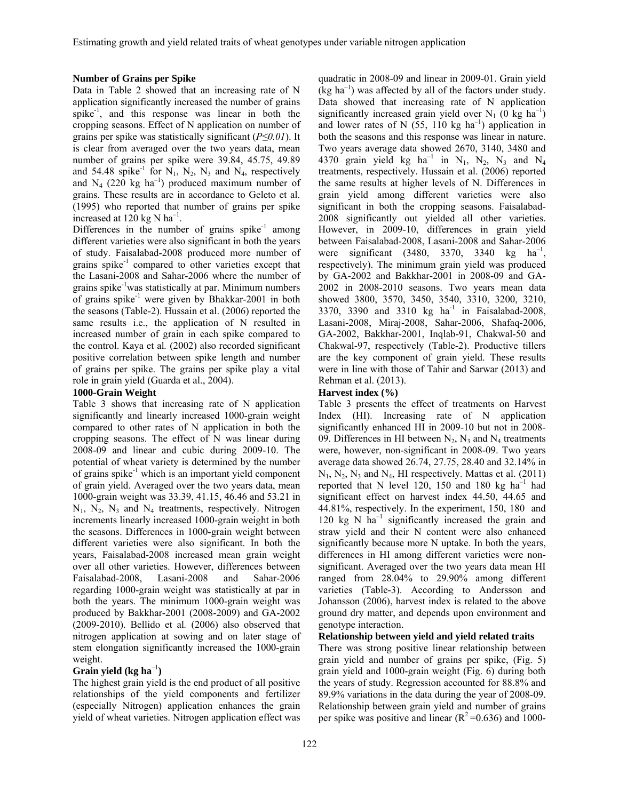#### **Number of Grains per Spike**

Data in Table 2 showed that an increasing rate of N application significantly increased the number of grains spike<sup>-1</sup>, and this response was linear in both the cropping seasons. Effect of N application on number of grains per spike was statistically significant (*P≤0.01*). It is clear from averaged over the two years data, mean number of grains per spike were 39.84, 45.75, 49.89 and 54.48 spike<sup>-1</sup> for  $N_1$ ,  $N_2$ ,  $N_3$  and  $N_4$ , respectively and  $N_4$  (220 kg ha<sup>-1</sup>) produced maximum number of grains. These results are in accordance to Geleto et al. (1995) who reported that number of grains per spike increased at 120 kg N  $ha^{-1}$ .

Differences in the number of grains  $spike^{-1}$  among different varieties were also significant in both the years of study. Faisalabad-2008 produced more number of grains spike $^{-1}$  compared to other varieties except that the Lasani-2008 and Sahar-2006 where the number of grains spike-1was statistically at par. Minimum numbers of grains spike<sup>-1</sup> were given by Bhakkar-2001 in both the seasons (Table-2). Hussain et al. (2006) reported the same results i.e., the application of N resulted in increased number of grain in each spike compared to the control. Kaya et al*.* (2002) also recorded significant positive correlation between spike length and number of grains per spike. The grains per spike play a vital role in grain yield (Guarda et al., 2004).

## **1000-Grain Weight**

Table 3 shows that increasing rate of N application significantly and linearly increased 1000-grain weight compared to other rates of N application in both the cropping seasons. The effect of N was linear during 2008-09 and linear and cubic during 2009-10. The potential of wheat variety is determined by the number of grains spike $^{-1}$  which is an important yield component of grain yield. Averaged over the two years data, mean 1000-grain weight was 33.39, 41.15, 46.46 and 53.21 in  $N_1$ ,  $N_2$ ,  $N_3$  and  $N_4$  treatments, respectively. Nitrogen increments linearly increased 1000-grain weight in both the seasons. Differences in 1000-grain weight between different varieties were also significant. In both the years, Faisalabad-2008 increased mean grain weight over all other varieties. However, differences between Faisalabad-2008, Lasani-2008 and Sahar-2006 regarding 1000-grain weight was statistically at par in both the years. The minimum 1000-grain weight was produced by Bakkhar-2001 (2008-2009) and GA-2002 (2009-2010). Bellido et al*.* (2006) also observed that nitrogen application at sowing and on later stage of stem elongation significantly increased the 1000-grain weight.

# **Grain yield (kg ha**–1**)**

The highest grain yield is the end product of all positive relationships of the yield components and fertilizer (especially Nitrogen) application enhances the grain yield of wheat varieties. Nitrogen application effect was

quadratic in 2008-09 and linear in 2009-01. Grain yield  $(kg ha^{-1})$  was affected by all of the factors under study. Data showed that increasing rate of N application significantly increased grain yield over  $N_1$  (0 kg ha<sup>-1</sup>) and lower rates of N  $(55, 110 \text{ kg ha}^{-1})$  application in both the seasons and this response was linear in nature. Two years average data showed 2670, 3140, 3480 and 4370 grain yield kg ha<sup>-1</sup> in N<sub>1</sub>, N<sub>2</sub>, N<sub>3</sub> and N<sub>4</sub> treatments, respectively. Hussain et al. (2006) reported the same results at higher levels of N. Differences in grain yield among different varieties were also significant in both the cropping seasons. Faisalabad-2008 significantly out yielded all other varieties. However, in 2009-10, differences in grain yield between Faisalabad-2008, Lasani-2008 and Sahar-2006 were significant (3480, 3370, 3340 kg  $ha^{-1}$ , respectively). The minimum grain yield was produced by GA-2002 and Bakkhar-2001 in 2008-09 and GA-2002 in 2008-2010 seasons. Two years mean data showed 3800, 3570, 3450, 3540, 3310, 3200, 3210, 3370, 3390 and 3310 kg ha<sup>-1</sup> in Faisalabad-2008, Lasani-2008, Miraj-2008, Sahar-2006, Shafaq-2006, GA-2002, Bakkhar-2001, Inqlab-91, Chakwal-50 and Chakwal-97, respectively (Table-2). Productive tillers are the key component of grain yield. These results were in line with those of Tahir and Sarwar (2013) and Rehman et al. (2013).

## **Harvest index (%)**

Table 3 presents the effect of treatments on Harvest Index (HI). Increasing rate of N application significantly enhanced HI in 2009-10 but not in 2008- 09. Differences in HI between  $N_2$ ,  $N_3$  and  $N_4$  treatments were, however, non-significant in 2008-09. Two years average data showed 26.74, 27.75, 28.40 and 32.14% in  $N_1$ ,  $N_2$ ,  $N_3$  and  $N_4$ , HI respectively. Mattas et al. (2011) reported that N level 120, 150 and 180 kg  $ha^{-1}$  had significant effect on harvest index 44.50, 44.65 and 44.81%, respectively. In the experiment, 150, 180 and 120 kg N  $ha^{-1}$  significantly increased the grain and straw yield and their N content were also enhanced significantly because more N uptake. In both the years, differences in HI among different varieties were nonsignificant. Averaged over the two years data mean HI ranged from 28.04% to 29.90% among different varieties (Table-3). According to Andersson and Johansson (2006), harvest index is related to the above ground dry matter, and depends upon environment and genotype interaction.

# **Relationship between yield and yield related traits**

There was strong positive linear relationship between grain yield and number of grains per spike, (Fig. 5) grain yield and 1000-grain weight (Fig. 6) during both the years of study. Regression accounted for 88.8% and 89.9% variations in the data during the year of 2008-09. Relationship between grain yield and number of grains per spike was positive and linear ( $R^2$ =0.636) and 1000-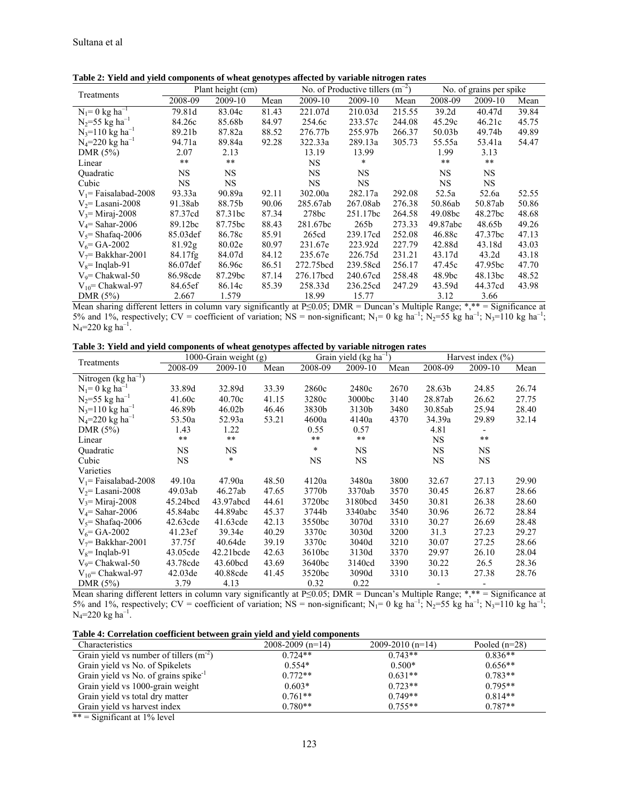| Treatments                      | No. of Productive tillers $(m^{-2})$<br>Plant height (cm) |                     |       |           |           | No. of grains per spike |           |           |       |
|---------------------------------|-----------------------------------------------------------|---------------------|-------|-----------|-----------|-------------------------|-----------|-----------|-------|
|                                 | 2008-09                                                   | 2009-10             | Mean  | 2009-10   | 2009-10   | Mean                    | 2008-09   | 2009-10   | Mean  |
| $N_1 = 0$ kg ha <sup>-1</sup>   | 79.81d                                                    | 83.04c              | 81.43 | 221.07d   | 210.03d   | 215.55                  | 39.2d     | 40.47d    | 39.84 |
| $N_2 = 55$ kg ha <sup>-1</sup>  | 84.26c                                                    | 85.68b              | 84.97 | 254.6c    | 233.57c   | 244.08                  | 45.29c    | 46.21c    | 45.75 |
| $N_3 = 110$ kg ha <sup>-1</sup> | 89.21b                                                    | 87.82a              | 88.52 | 276.77b   | 255.97b   | 266.37                  | 50.03b    | 49.74b    | 49.89 |
| $N_4 = 220$ kg ha <sup>-1</sup> | 94.71a                                                    | 89.84a              | 92.28 | 322.33a   | 289.13a   | 305.73                  | 55.55a    | 53.41a    | 54.47 |
| DMR $(5%)$                      | 2.07                                                      | 2.13                |       | 13.19     | 13.99     |                         | 1.99      | 3.13      |       |
| Linear                          | $***$                                                     | $* *$               |       | <b>NS</b> | $\ast$    |                         | $**$      | $**$      |       |
| <b>Ouadratic</b>                | NS.                                                       | <b>NS</b>           |       | <b>NS</b> | NS.       |                         | <b>NS</b> | <b>NS</b> |       |
| Cubic                           | NS.                                                       | <b>NS</b>           |       | <b>NS</b> | <b>NS</b> |                         | NS.       | <b>NS</b> |       |
| $V_1$ Faisalabad-2008           | 93.33a                                                    | 90.89a              | 92.11 | 302.00a   | 282.17a   | 292.08                  | 52.5a     | 52.6a     | 52.55 |
| $V_2$ = Lasani-2008             | 91.38ab                                                   | 88.75b              | 90.06 | 285.67ab  | 267.08ab  | 276.38                  | 50.86ab   | 50.87ab   | 50.86 |
| $V_3$ = Miraj-2008              | 87.37cd                                                   | 87.31 <sub>bc</sub> | 87.34 | 278bc     | 251.17bc  | 264.58                  | 49.08bc   | 48.27bc   | 48.68 |
| $V_4$ = Sahar-2006              | 89.12bc                                                   | 87.75bc             | 88.43 | 281.67bc  | 265b      | 273.33                  | 49.87abc  | 48.65b    | 49.26 |
| $V_s$ = Shafaq-2006             | 85.03def                                                  | 86.78c              | 85.91 | 265cd     | 239.17cd  | 252.08                  | 46.88c    | 47.37bc   | 47.13 |
| $V_6$ = GA-2002                 | 81.92g                                                    | 80.02e              | 80.97 | 231.67e   | 223.92d   | 227.79                  | 42.88d    | 43.18d    | 43.03 |
| $V_7$ = Bakkhar-2001            | 84.17fg                                                   | 84.07d              | 84.12 | 235.67e   | 226.75d   | 231.21                  | 43.17d    | 43.2d     | 43.18 |
| $V_8$ = Inglab-91               | 86.07def                                                  | 86.96c              | 86.51 | 272.75bcd | 239.58cd  | 256.17                  | 47.45c    | 47.95bc   | 47.70 |
| $V_9$ = Chakwal-50              | 86.98cde                                                  | 87.29bc             | 87.14 | 276.17bcd | 240.67cd  | 258.48                  | 48.9bc    | 48.13bc   | 48.52 |
| $V_{10}$ = Chakwal-97           | 84.65ef                                                   | 86.14c              | 85.39 | 258.33d   | 236.25cd  | 247.29                  | 43.59d    | 44.37cd   | 43.98 |
| DMR $(5%)$                      | 2.667                                                     | 1.579               |       | 18.99     | 15.77     |                         | 3.12      | 3.66      |       |

**Table 2: Yield and yield components of wheat genotypes affected by variable nitrogen rates** 

Mean sharing different letters in column vary significantly at P≤0.05; DMR = Duncan's Multiple Range; \*,\*\* = Significance at 5% and 1%, respectively; CV = coefficient of variation; NS = non-significant; N<sub>1</sub>= 0 kg ha<sup>-1</sup>; N<sub>2</sub>=55 kg ha<sup>-1</sup>; N<sub>3</sub>=110 kg ha<sup>-1</sup>;  $N_4 = 220$  kg ha<sup>-1</sup>.

|  |  |  | Table 3: Yield and yield components of wheat genotypes affected by variable nitrogen rates |
|--|--|--|--------------------------------------------------------------------------------------------|
|--|--|--|--------------------------------------------------------------------------------------------|

|                                   |                     | 1000-Grain weight (g) |       | Grain yield (kg ha <sup>-1</sup> ) |                    |      | Harvest index $(\% )$ |         |       |
|-----------------------------------|---------------------|-----------------------|-------|------------------------------------|--------------------|------|-----------------------|---------|-------|
| Treatments                        | 2008-09             | 2009-10               | Mean  | 2008-09                            | 2009-10            | Mean | 2008-09               | 2009-10 | Mean  |
| Nitrogen ( $kg \text{ ha}^{-1}$ ) |                     |                       |       |                                    |                    |      |                       |         |       |
| $N_1 = 0$ kg ha <sup>-1</sup>     | 33.89d              | 32.89d                | 33.39 | 2860c                              | 2480c              | 2670 | 28.63b                | 24.85   | 26.74 |
| $N_2 = 55$ kg ha <sup>-1</sup>    | 41.60c              | 40.70c                | 41.15 | 3280c                              | 3000 <sub>bc</sub> | 3140 | 28.87ab               | 26.62   | 27.75 |
| $N_3 = 110$ kg ha <sup>-1</sup>   | 46.89b              | 46.02b                | 46.46 | 3830b                              | 3130b              | 3480 | 30.85ab               | 25.94   | 28.40 |
| $N_4 = 220$ kg ha <sup>-1</sup>   | 53.50a              | 52.93a                | 53.21 | 4600a                              | 4140a              | 4370 | 34.39a                | 29.89   | 32.14 |
| DMR $(5%)$                        | 1.43                | 1.22                  |       | 0.55                               | 0.57               |      | 4.81                  |         |       |
| Linear                            | $***$               | $\star\star$          |       | $* *$                              | $***$              |      | <b>NS</b>             | $***$   |       |
| Quadratic                         | NS                  | NS                    |       | $\ast$                             | NS.                |      | <b>NS</b>             | NS      |       |
| Cubic                             | NS                  | $\ast$                |       | NS                                 | NS.                |      | NS                    | NS      |       |
| Varieties                         |                     |                       |       |                                    |                    |      |                       |         |       |
| $V_1$ Faisalabad-2008             | 49.10a              | 47.90a                | 48.50 | 4120a                              | 3480a              | 3800 | 32.67                 | 27.13   | 29.90 |
| $V2=$ Lasani-2008                 | 49.03ab             | 46.27ab               | 47.65 | 3770b                              | 3370ab             | 3570 | 30.45                 | 26.87   | 28.66 |
| $V_3$ = Miraj-2008                | 45.24bcd            | 43.97abcd             | 44.61 | 3720bc                             | 3180bcd            | 3450 | 30.81                 | 26.38   | 28.60 |
| $V_4$ = Sahar-2006                | 45.84abc            | 44.89abc              | 45.37 | 3744b                              | 3340abc            | 3540 | 30.96                 | 26.72   | 28.84 |
| $V_5$ = Shafaq-2006               | 42.63cde            | 41.63cde              | 42.13 | 3550bc                             | 3070d              | 3310 | 30.27                 | 26.69   | 28.48 |
| $V_6$ = GA-2002                   | 41.23ef             | 39.34e                | 40.29 | 3370c                              | 3030d              | 3200 | 31.3                  | 27.23   | 29.27 |
| $V_7$ = Bakkhar-2001              | 37.75f              | 40.64de               | 39.19 | 3370c                              | 3040d              | 3210 | 30.07                 | 27.25   | 28.66 |
| $V_s$ = Inglab-91                 | 43.05cde            | $42.21$ bcde          | 42.63 | 3610bc                             | 3130d              | 3370 | 29.97                 | 26.10   | 28.04 |
| $V_9$ = Chakwal-50                | 43.78cde            | 43.60bcd              | 43.69 | 3640bc                             | 3140cd             | 3390 | 30.22                 | 26.5    | 28.36 |
| $V_{10}$ = Chakwal-97             | 42.03 <sub>de</sub> | 40.88cde              | 41.45 | 3520bc                             | 3090d              | 3310 | 30.13                 | 27.38   | 28.76 |
| DMR $(5%)$                        | 3.79                | 4.13                  |       | 0.32                               | 0.22               |      |                       |         |       |

Mean sharing different letters in column vary significantly at P≤0.05; DMR = Duncan's Multiple Range; \*,\*\* = Significance at 5% and 1%, respectively; CV = coefficient of variation; NS = non-significant; N<sub>1</sub>= 0 kg ha<sup>-1</sup>; N<sub>2</sub>=55 kg ha<sup>-1</sup>; N<sub>3</sub>=110 kg ha<sup>-1</sup>;  $N_4 = 220$  kg ha<sup>-1</sup>.

| Table 4: Correlation coefficient between grain yield and yield components |  |  |  |  |  |  |  |  |  |  |  |
|---------------------------------------------------------------------------|--|--|--|--|--|--|--|--|--|--|--|
|---------------------------------------------------------------------------|--|--|--|--|--|--|--|--|--|--|--|

| Characteristics                                 | $\rightarrow$<br>$2008 - 2009$ (n=14) | $2009 - 2010(n=14)$ | Pooled $(n=28)$ |
|-------------------------------------------------|---------------------------------------|---------------------|-----------------|
| Grain yield vs number of tillers $(m2)$         | $0.724**$                             | $0.743**$           | $0.836**$       |
| Grain yield vs No. of Spikelets                 | $0.554*$                              | $0.500*$            | $0.656**$       |
| Grain yield vs No. of grains spike <sup>1</sup> | $0.772**$                             | $0.631**$           | $0.783**$       |
| Grain yield vs 1000-grain weight                | $0.603*$                              | $0.723**$           | $0.795**$       |
| Grain yield vs total dry matter                 | $0.761**$                             | $0.749**$           | $0.814**$       |
| Grain yield vs harvest index                    | $0.780**$                             | $0.755**$           | $0.787**$       |

 $*** =$  Significant at 1% level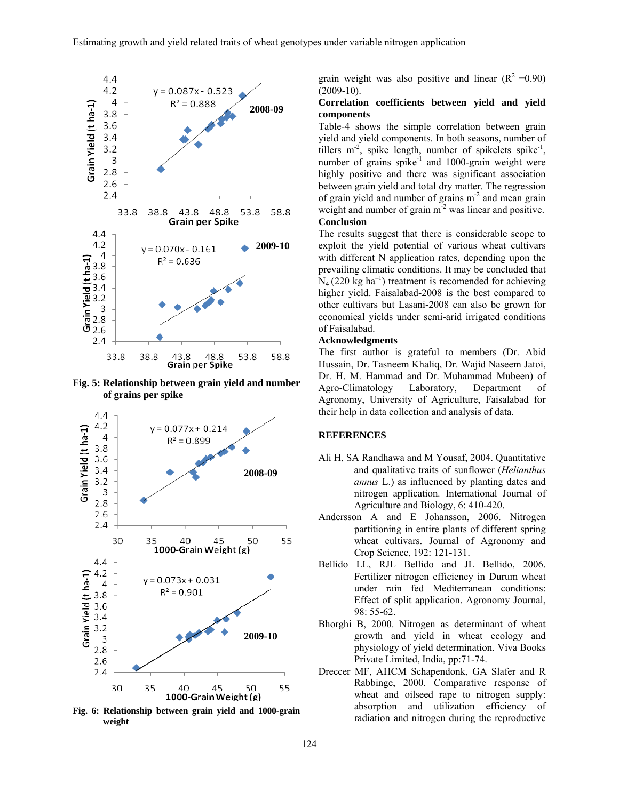

**Fig. 5: Relationship between grain yield and number of grains per spike** 



**Fig. 6: Relationship between grain yield and 1000-grain weight** 

grain weight was also positive and linear  $(R^2 = 0.90)$  $(2009-10)$ .

## **Correlation coefficients between yield and yield components**

Table-4 shows the simple correlation between grain yield and yield components. In both seasons, number of tillers  $m<sup>-2</sup>$ , spike length, number of spikelets spike<sup>-1</sup>, number of grains spike $^{-1}$  and 1000-grain weight were highly positive and there was significant association between grain yield and total dry matter. The regression of grain yield and number of grains m-2 and mean grain weight and number of grain m<sup>-2</sup> was linear and positive. **Conclusion** 

The results suggest that there is considerable scope to exploit the yield potential of various wheat cultivars with different N application rates, depending upon the prevailing climatic conditions. It may be concluded that  $N_4$  (220 kg ha<sup>-1</sup>) treatment is recomended for achieving higher yield. Faisalabad-2008 is the best compared to other cultivars but Lasani-2008 can also be grown for economical yields under semi-arid irrigated conditions of Faisalabad.

#### **Acknowledgments**

The first author is grateful to members (Dr. Abid Hussain, Dr. Tasneem Khaliq, Dr. Wajid Naseem Jatoi, Dr. H. M. Hammad and Dr. Muhammad Mubeen) of Agro-Climatology Laboratory, Department of Agronomy, University of Agriculture, Faisalabad for their help in data collection and analysis of data.

## **REFERENCES**

- Ali H, SA Randhawa and M Yousaf, 2004. Quantitative and qualitative traits of sunflower (*Helianthus annus* L.) as influenced by planting dates and nitrogen application*.* International Journal of Agriculture and Biology, 6: 410-420.
- Andersson A and E Johansson, 2006. Nitrogen partitioning in entire plants of different spring wheat cultivars. Journal of Agronomy and Crop Science, 192: 121-131.
- Bellido LL, RJL Bellido and JL Bellido, 2006. Fertilizer nitrogen efficiency in Durum wheat under rain fed Mediterranean conditions: Effect of split application. Agronomy Journal, 98: 55-62.
- Bhorghi B, 2000. Nitrogen as determinant of wheat growth and yield in wheat ecology and physiology of yield determination. Viva Books Private Limited, India, pp:71-74.
- Dreccer MF, AHCM Schapendonk, GA Slafer and R Rabbinge, 2000. Comparative response of wheat and oilseed rape to nitrogen supply: absorption and utilization efficiency of radiation and nitrogen during the reproductive